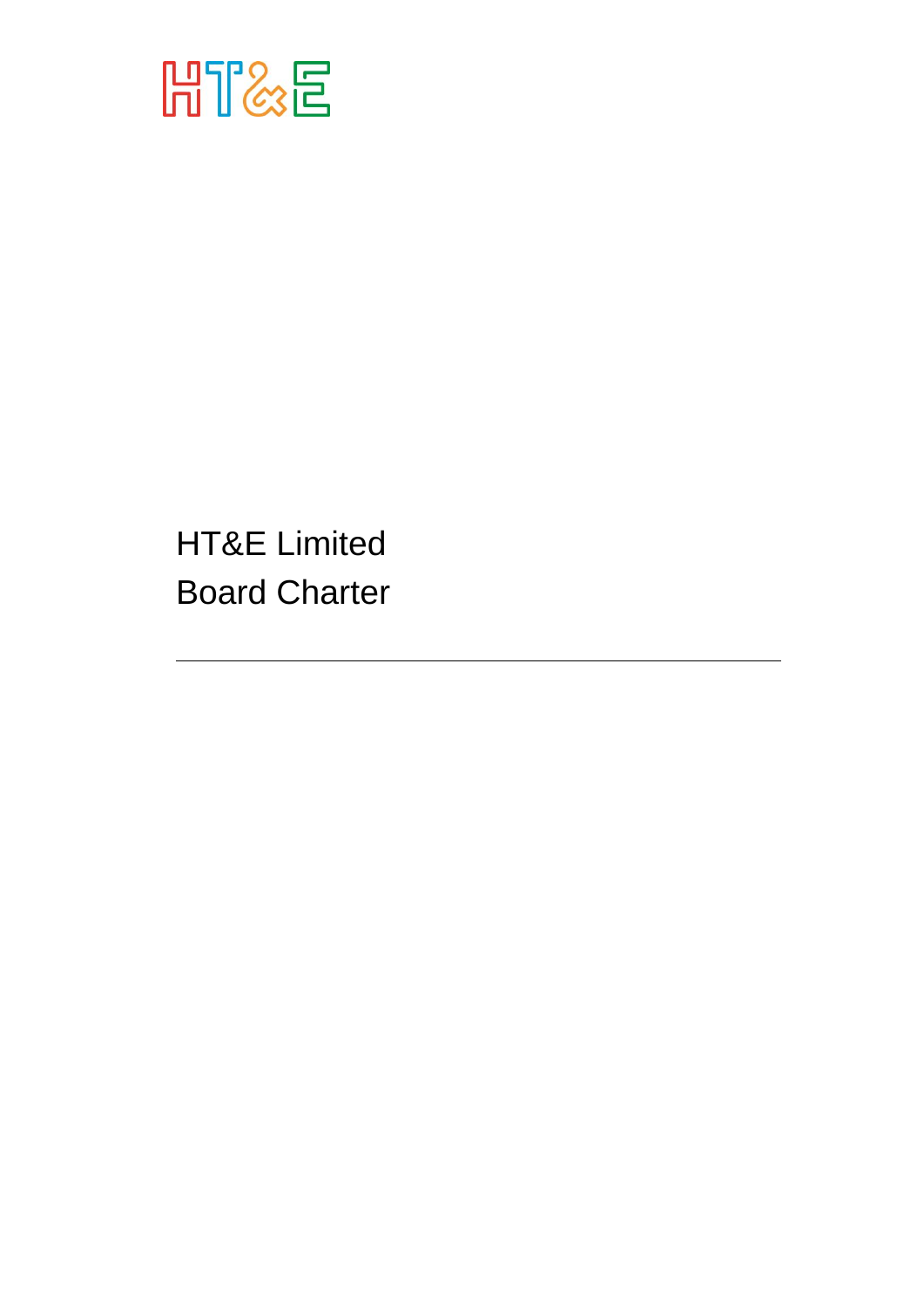

HT&E Limited Board Charter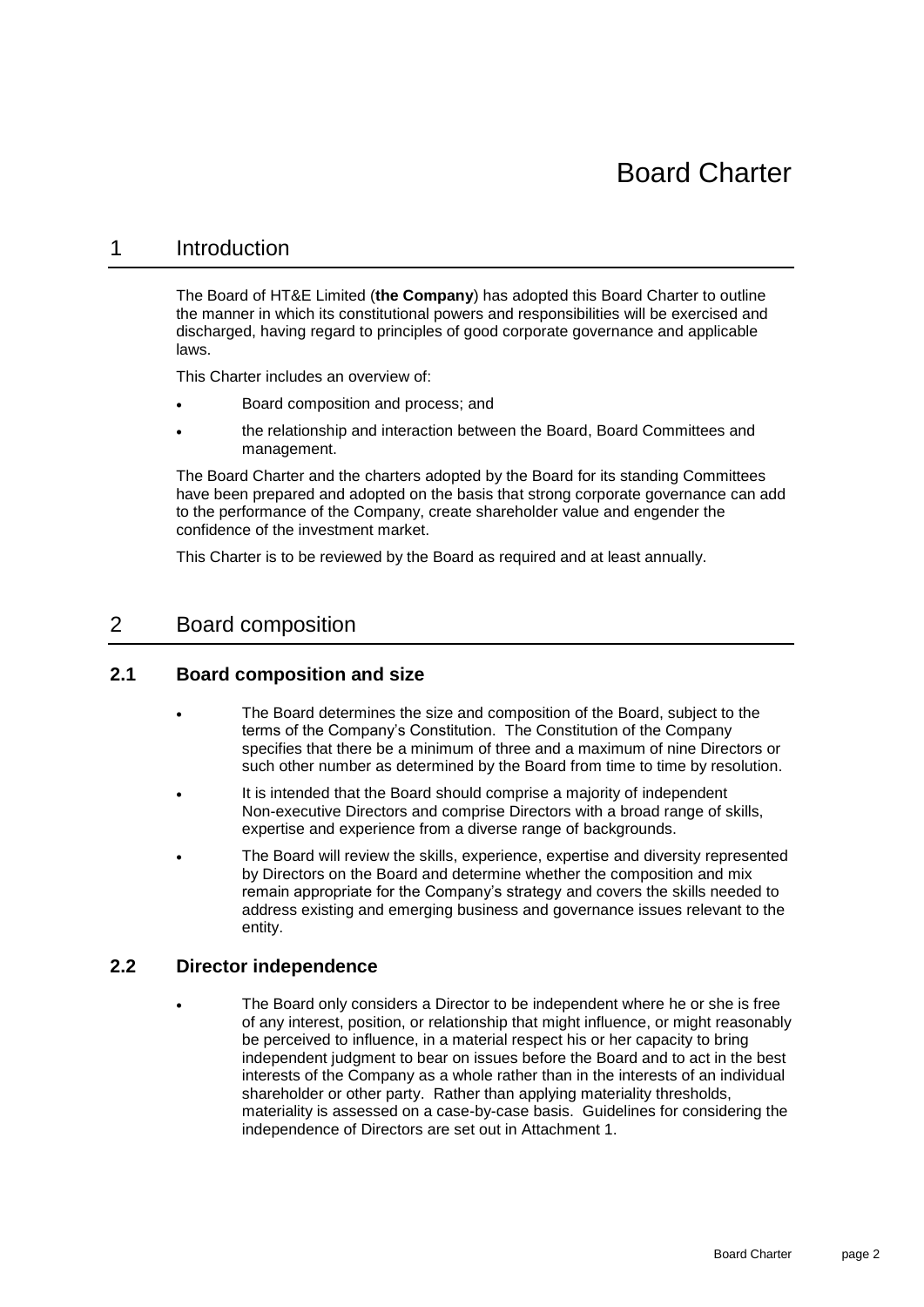## 1 Introduction

The Board of HT&E Limited (**the Company**) has adopted this Board Charter to outline the manner in which its constitutional powers and responsibilities will be exercised and discharged, having regard to principles of good corporate governance and applicable laws.

This Charter includes an overview of:

- Board composition and process; and
- the relationship and interaction between the Board, Board Committees and management.

The Board Charter and the charters adopted by the Board for its standing Committees have been prepared and adopted on the basis that strong corporate governance can add to the performance of the Company, create shareholder value and engender the confidence of the investment market.

This Charter is to be reviewed by the Board as required and at least annually.

## 2 Board composition

#### **2.1 Board composition and size**

- The Board determines the size and composition of the Board, subject to the terms of the Company's Constitution. The Constitution of the Company specifies that there be a minimum of three and a maximum of nine Directors or such other number as determined by the Board from time to time by resolution.
- It is intended that the Board should comprise a majority of independent Non-executive Directors and comprise Directors with a broad range of skills, expertise and experience from a diverse range of backgrounds.
- The Board will review the skills, experience, expertise and diversity represented by Directors on the Board and determine whether the composition and mix remain appropriate for the Company's strategy and covers the skills needed to address existing and emerging business and governance issues relevant to the entity.

#### **2.2 Director independence**

The Board only considers a Director to be independent where he or she is free of any interest, position, or relationship that might influence, or might reasonably be perceived to influence, in a material respect his or her capacity to bring independent judgment to bear on issues before the Board and to act in the best interests of the Company as a whole rather than in the interests of an individual shareholder or other party. Rather than applying materiality thresholds, materiality is assessed on a case-by-case basis. Guidelines for considering the independence of Directors are set out in [Attachment](#page-6-0) 1.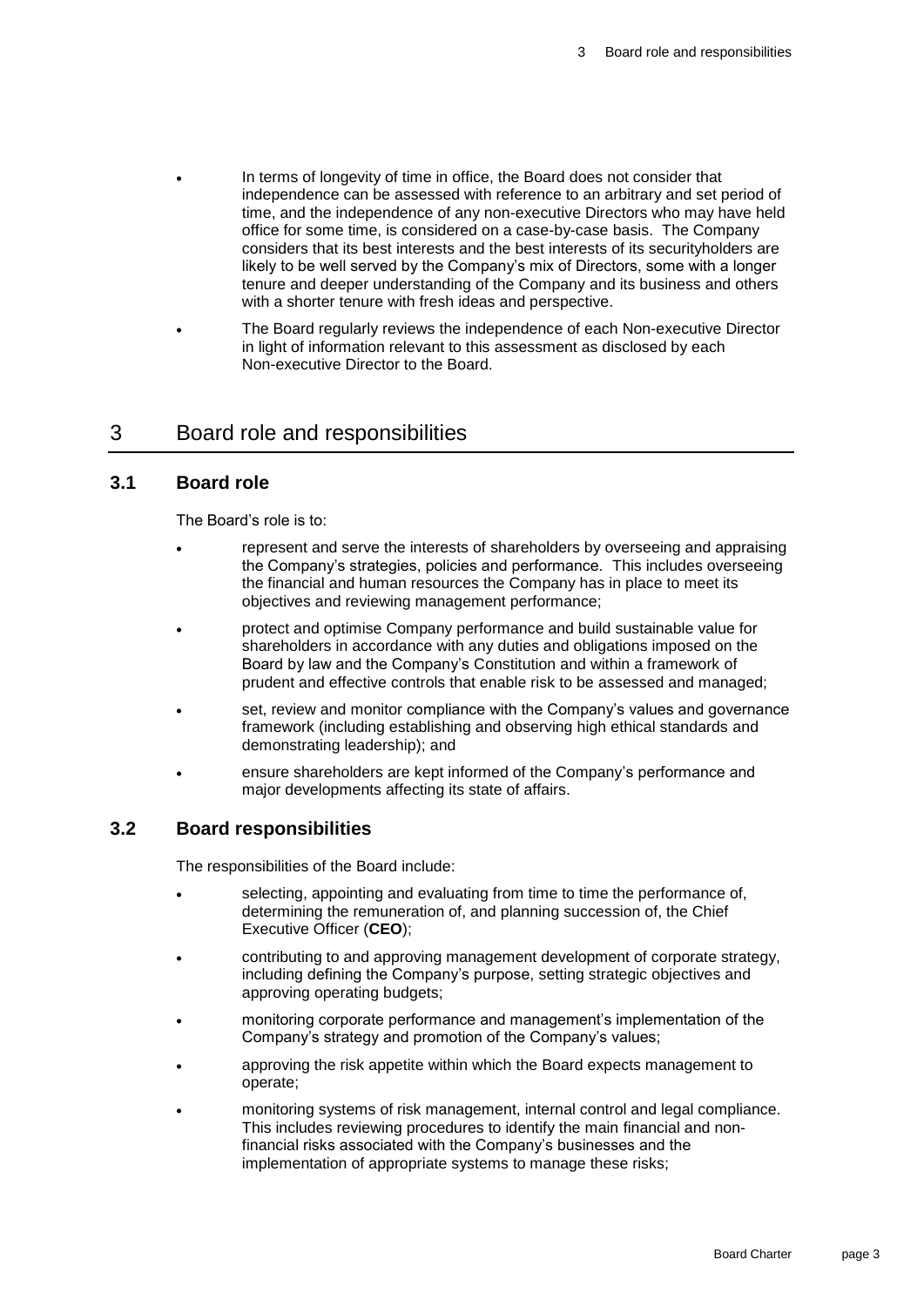- In terms of longevity of time in office, the Board does not consider that independence can be assessed with reference to an arbitrary and set period of time, and the independence of any non-executive Directors who may have held office for some time, is considered on a case-by-case basis. The Company considers that its best interests and the best interests of its securityholders are likely to be well served by the Company's mix of Directors, some with a longer tenure and deeper understanding of the Company and its business and others with a shorter tenure with fresh ideas and perspective.
- The Board regularly reviews the independence of each Non-executive Director in light of information relevant to this assessment as disclosed by each Non-executive Director to the Board.

## 3 Board role and responsibilities

#### **3.1 Board role**

The Board's role is to:

- represent and serve the interests of shareholders by overseeing and appraising the Company's strategies, policies and performance. This includes overseeing the financial and human resources the Company has in place to meet its objectives and reviewing management performance;
- protect and optimise Company performance and build sustainable value for shareholders in accordance with any duties and obligations imposed on the Board by law and the Company's Constitution and within a framework of prudent and effective controls that enable risk to be assessed and managed;
- set, review and monitor compliance with the Company's values and governance framework (including establishing and observing high ethical standards and demonstrating leadership); and
- ensure shareholders are kept informed of the Company's performance and major developments affecting its state of affairs.

#### **3.2 Board responsibilities**

The responsibilities of the Board include:

- selecting, appointing and evaluating from time to time the performance of, determining the remuneration of, and planning succession of, the Chief Executive Officer (**CEO**);
- contributing to and approving management development of corporate strategy, including defining the Company's purpose, setting strategic objectives and approving operating budgets;
- monitoring corporate performance and management's implementation of the Company's strategy and promotion of the Company's values;
- approving the risk appetite within which the Board expects management to operate;
- monitoring systems of risk management, internal control and legal compliance. This includes reviewing procedures to identify the main financial and nonfinancial risks associated with the Company's businesses and the implementation of appropriate systems to manage these risks;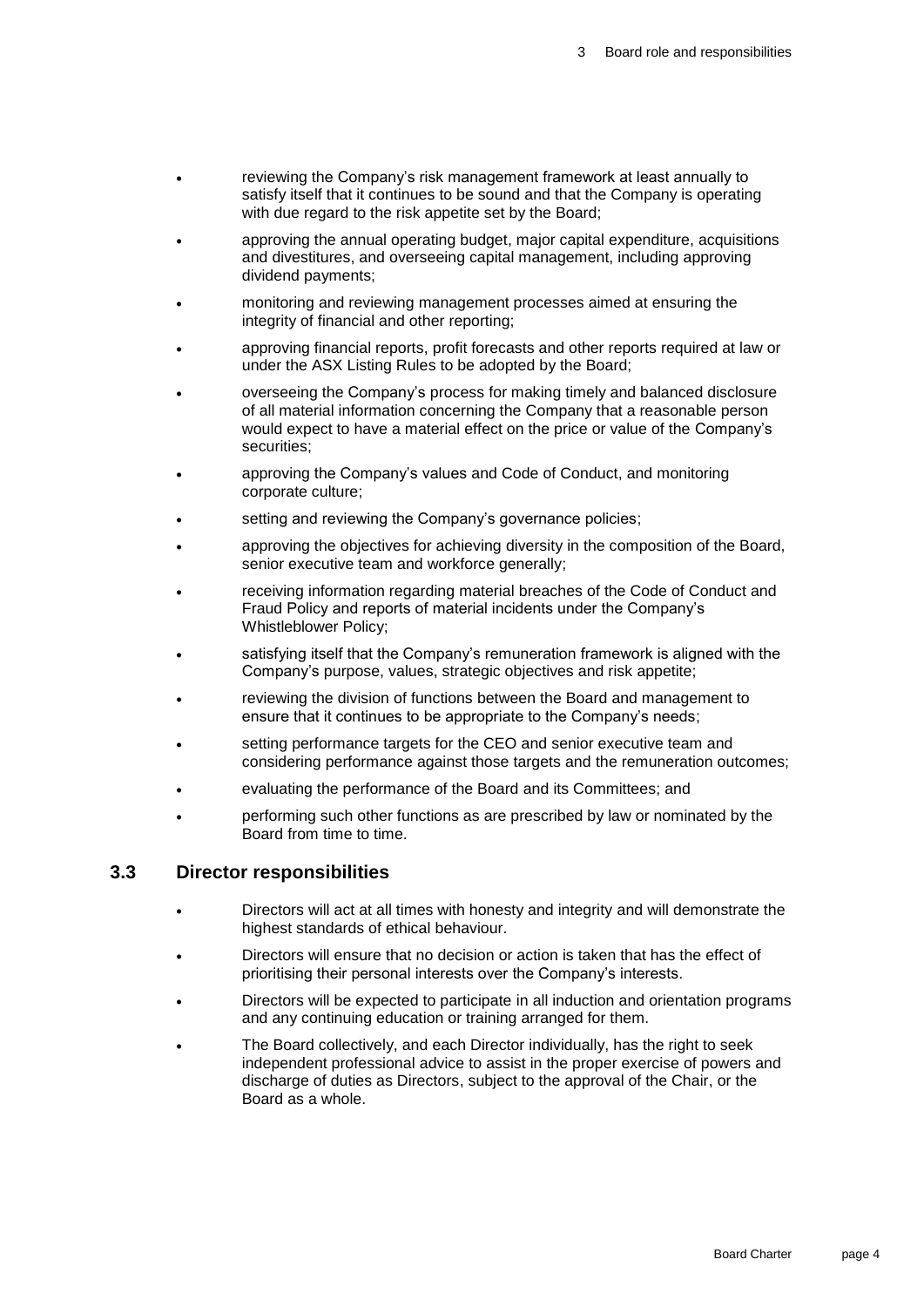- reviewing the Company's risk management framework at least annually to satisfy itself that it continues to be sound and that the Company is operating with due regard to the risk appetite set by the Board;
- approving the annual operating budget, major capital expenditure, acquisitions and divestitures, and overseeing capital management, including approving dividend payments;
- monitoring and reviewing management processes aimed at ensuring the integrity of financial and other reporting;
- approving financial reports, profit forecasts and other reports required at law or under the ASX Listing Rules to be adopted by the Board;
- overseeing the Company's process for making timely and balanced disclosure of all material information concerning the Company that a reasonable person would expect to have a material effect on the price or value of the Company's securities;
- approving the Company's values and Code of Conduct, and monitoring corporate culture;
- setting and reviewing the Company's governance policies;
- approving the objectives for achieving diversity in the composition of the Board, senior executive team and workforce generally;
- receiving information regarding material breaches of the Code of Conduct and Fraud Policy and reports of material incidents under the Company's Whistleblower Policy;
- satisfying itself that the Company's remuneration framework is aligned with the Company's purpose, values, strategic objectives and risk appetite;
- reviewing the division of functions between the Board and management to ensure that it continues to be appropriate to the Company's needs;
- setting performance targets for the CEO and senior executive team and considering performance against those targets and the remuneration outcomes;
- evaluating the performance of the Board and its Committees; and
- performing such other functions as are prescribed by law or nominated by the Board from time to time.

#### **3.3 Director responsibilities**

- Directors will act at all times with honesty and integrity and will demonstrate the highest standards of ethical behaviour.
- Directors will ensure that no decision or action is taken that has the effect of prioritising their personal interests over the Company's interests.
- Directors will be expected to participate in all induction and orientation programs and any continuing education or training arranged for them.
- The Board collectively, and each Director individually, has the right to seek independent professional advice to assist in the proper exercise of powers and discharge of duties as Directors, subject to the approval of the Chair, or the Board as a whole.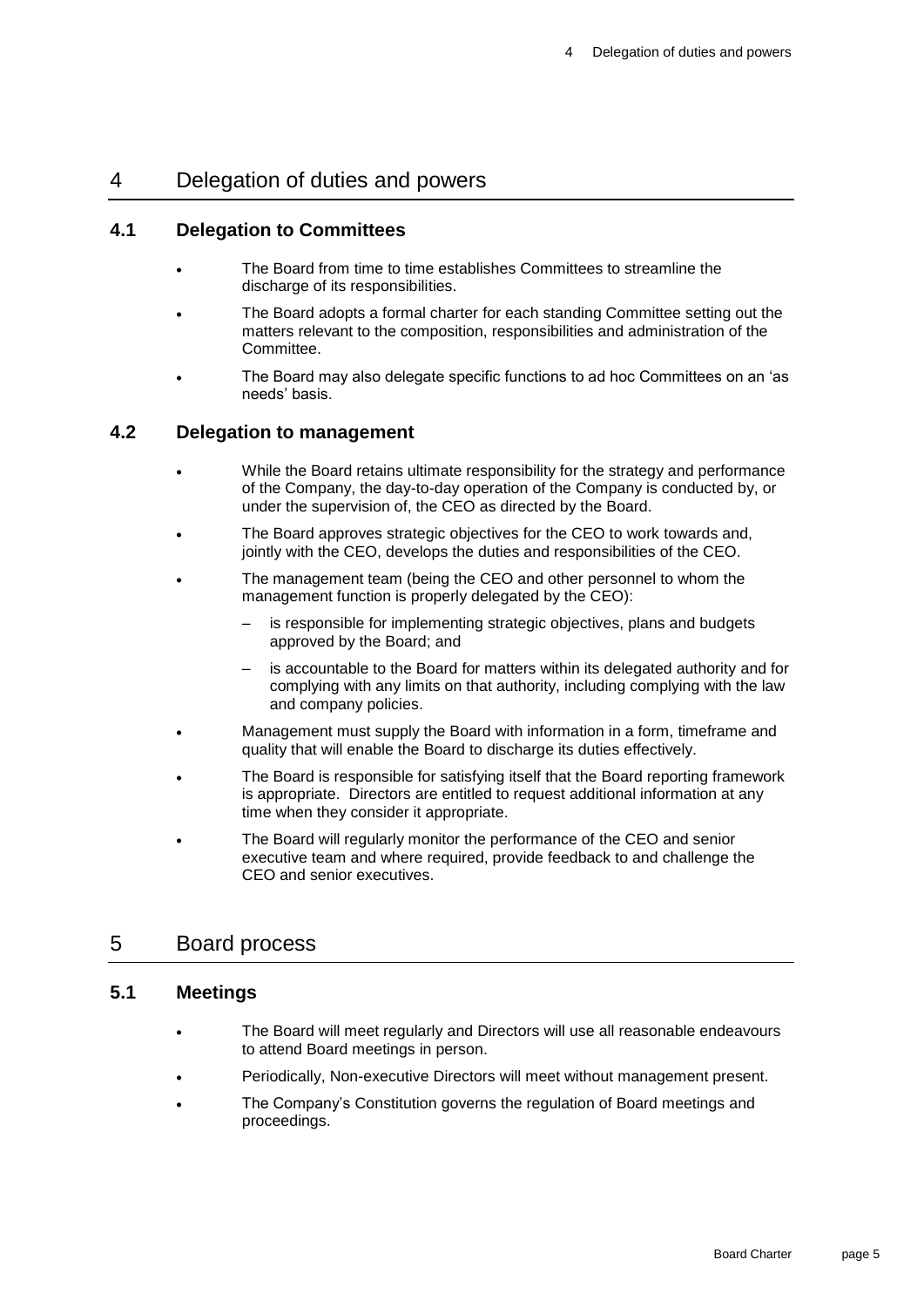## 4 Delegation of duties and powers

#### **4.1 Delegation to Committees**

- The Board from time to time establishes Committees to streamline the discharge of its responsibilities.
- The Board adopts a formal charter for each standing Committee setting out the matters relevant to the composition, responsibilities and administration of the Committee.
- The Board may also delegate specific functions to ad hoc Committees on an 'as needs' basis.

#### **4.2 Delegation to management**

- While the Board retains ultimate responsibility for the strategy and performance of the Company, the day-to-day operation of the Company is conducted by, or under the supervision of, the CEO as directed by the Board.
- The Board approves strategic objectives for the CEO to work towards and, jointly with the CEO, develops the duties and responsibilities of the CEO.
- The management team (being the CEO and other personnel to whom the management function is properly delegated by the CEO):
	- is responsible for implementing strategic objectives, plans and budgets approved by the Board; and
	- is accountable to the Board for matters within its delegated authority and for complying with any limits on that authority, including complying with the law and company policies.
- Management must supply the Board with information in a form, timeframe and quality that will enable the Board to discharge its duties effectively.
- The Board is responsible for satisfying itself that the Board reporting framework is appropriate. Directors are entitled to request additional information at any time when they consider it appropriate.
- The Board will regularly monitor the performance of the CEO and senior executive team and where required, provide feedback to and challenge the CEO and senior executives.

## 5 Board process

#### **5.1 Meetings**

- The Board will meet regularly and Directors will use all reasonable endeavours to attend Board meetings in person.
- Periodically, Non-executive Directors will meet without management present.
- The Company's Constitution governs the regulation of Board meetings and proceedings.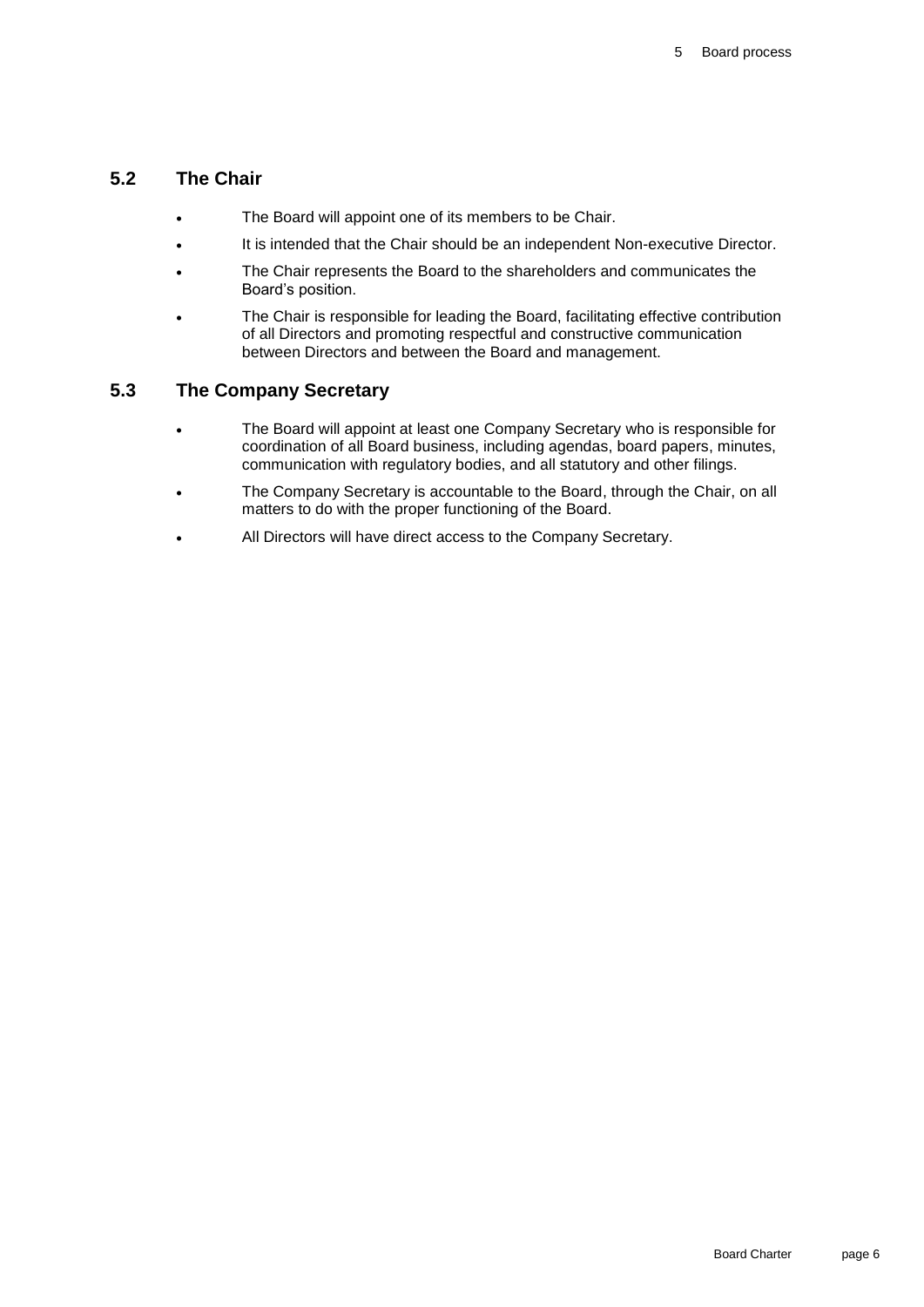### **5.2 The Chair**

- The Board will appoint one of its members to be Chair.
- It is intended that the Chair should be an independent Non-executive Director.
- The Chair represents the Board to the shareholders and communicates the Board's position.
- The Chair is responsible for leading the Board, facilitating effective contribution of all Directors and promoting respectful and constructive communication between Directors and between the Board and management.

#### **5.3 The Company Secretary**

- The Board will appoint at least one Company Secretary who is responsible for coordination of all Board business, including agendas, board papers, minutes, communication with regulatory bodies, and all statutory and other filings.
- The Company Secretary is accountable to the Board, through the Chair, on all matters to do with the proper functioning of the Board.
- All Directors will have direct access to the Company Secretary.